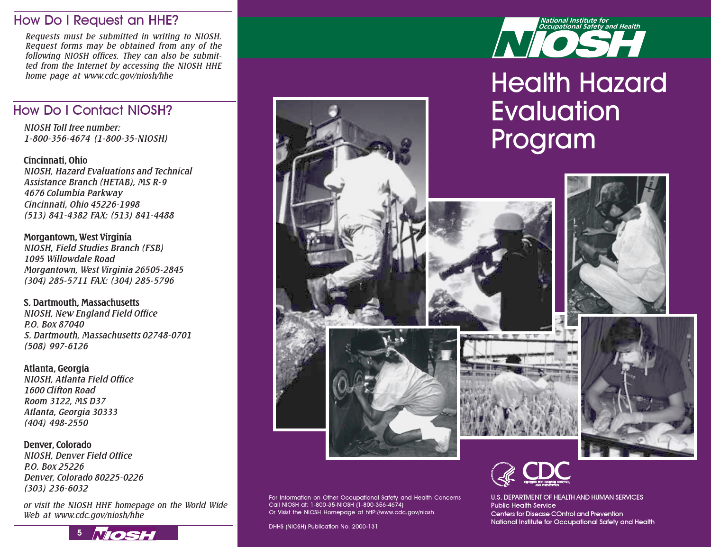## How Do I Request an HHE?

Requests must be submitted in writing to NIOSH. Request forms may be obtained from any of the following NIOSH offices. They can also be submitted from the Internet by accessing the NIOSH HHE

# How Do I Contact NIOSH?

NIOSH Toll free number: 1-800-356-4674 (1-800-35-NIOSH)

Cincinnati, Ohio NIOSH, Hazard Evaluations and Technical Assistance Branch (HETAB), MS R-9 4676 Columbia Parkway Cincinnati, Ohio 45226-1998 (513) 841-4382 FAX: (513) 841-4488

Morgantown, West Virginia NIOSH, Field Studies Branch (FSB) 1095 Willowdale Road Morgantown, West Virginia 26505-2845 (304) 285-5711 FAX: (304) 285-5796

S. Dartmouth, Massachusetts NIOSH, New England Field Office P.O. Box 87040 S. Dartmouth, Massachusetts 02748-0701 (508) 997-6126

#### Atlanta, Georgia NIOSH, Atlanta Field Office 1600 Clifton Road Room 3122, MS D37 Atlanta, Georgia 30333 (404) 498-2550

Denver, Colorado NIOSH, Denver Field Office P.O. Box 25226 Denver, Colorado 80225-0226 (303) 236-6032

or visit the NIOSH HHE homepage on the World Wide Web at www.cdc.gov/niosh/hhe





# home page at www.cdc.gov/niosh/hhe<br>
Health Hazard **Evaluation** Program











U.S. DEPARTMENT OF HEALTH AND HUMAN SERVICES Public Health Service Centers for Disease COntrol and Prevention National Institute for Occupational Safety and Health

For Information on Other Occupational Safety and Health Concerns Call NIOSH at: 1-800-35-NIOSH (1-800-356-4674) Or Visist the NIOSH Homepage at httP://www.cdc.gov/niosh

DHHS (NIOSH) Publication No. 2000-131